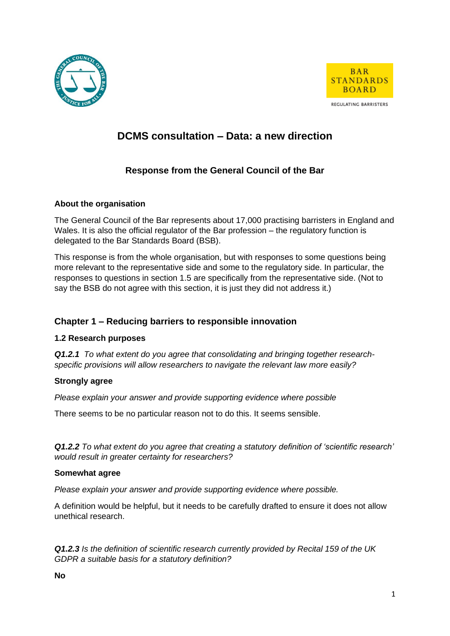



# **DCMS consultation – Data: a new direction**

# **Response from the General Council of the Bar**

### **About the organisation**

The General Council of the Bar represents about 17,000 practising barristers in England and Wales. It is also the official regulator of the Bar profession – the regulatory function is delegated to the Bar Standards Board (BSB).

This response is from the whole organisation, but with responses to some questions being more relevant to the representative side and some to the regulatory side. In particular, the responses to questions in section 1.5 are specifically from the representative side. (Not to say the BSB do not agree with this section, it is just they did not address it.)

# **Chapter 1 – Reducing barriers to responsible innovation**

### **1.2 Research purposes**

*Q1.2.1 To what extent do you agree that consolidating and bringing together researchspecific provisions will allow researchers to navigate the relevant law more easily?*

#### **Strongly agree**

*Please explain your answer and provide supporting evidence where possible*

There seems to be no particular reason not to do this. It seems sensible.

*Q1.2.2 To what extent do you agree that creating a statutory definition of 'scientific research' would result in greater certainty for researchers?*

#### **Somewhat agree**

*Please explain your answer and provide supporting evidence where possible.*

A definition would be helpful, but it needs to be carefully drafted to ensure it does not allow unethical research.

*Q1.2.3 Is the definition of scientific research currently provided by Recital 159 of the UK GDPR a suitable basis for a statutory definition?*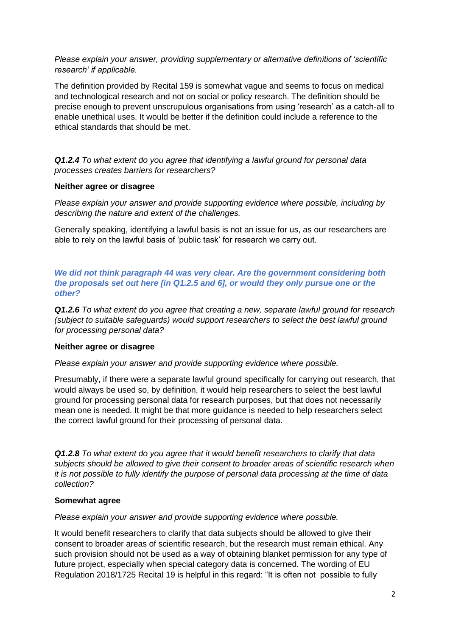*Please explain your answer, providing supplementary or alternative definitions of 'scientific research' if applicable.*

The definition provided by Recital 159 is somewhat vague and seems to focus on medical and technological research and not on social or policy research. The definition should be precise enough to prevent unscrupulous organisations from using 'research' as a catch-all to enable unethical uses. It would be better if the definition could include a reference to the ethical standards that should be met.

*Q1.2.4 To what extent do you agree that identifying a lawful ground for personal data processes creates barriers for researchers?*

#### **Neither agree or disagree**

*Please explain your answer and provide supporting evidence where possible, including by describing the nature and extent of the challenges.*

Generally speaking, identifying a lawful basis is not an issue for us, as our researchers are able to rely on the lawful basis of 'public task' for research we carry out.

*We did not think paragraph 44 was very clear. Are the government considering both the proposals set out here [in Q1.2.5 and 6], or would they only pursue one or the other?*

*Q1.2.6 To what extent do you agree that creating a new, separate lawful ground for research (subject to suitable safeguards) would support researchers to select the best lawful ground for processing personal data?*

#### **Neither agree or disagree**

*Please explain your answer and provide supporting evidence where possible.*

Presumably, if there were a separate lawful ground specifically for carrying out research, that would always be used so, by definition, it would help researchers to select the best lawful ground for processing personal data for research purposes, but that does not necessarily mean one is needed. It might be that more guidance is needed to help researchers select the correct lawful ground for their processing of personal data.

*Q1.2.8 To what extent do you agree that it would benefit researchers to clarify that data subjects should be allowed to give their consent to broader areas of scientific research when it is not possible to fully identify the purpose of personal data processing at the time of data collection?*

#### **Somewhat agree**

*Please explain your answer and provide supporting evidence where possible.*

It would benefit researchers to clarify that data subjects should be allowed to give their consent to broader areas of scientific research, but the research must remain ethical. Any such provision should not be used as a way of obtaining blanket permission for any type of future project, especially when special category data is concerned. The wording of EU Regulation 2018/1725 Recital 19 is helpful in this regard: "It is often not possible to fully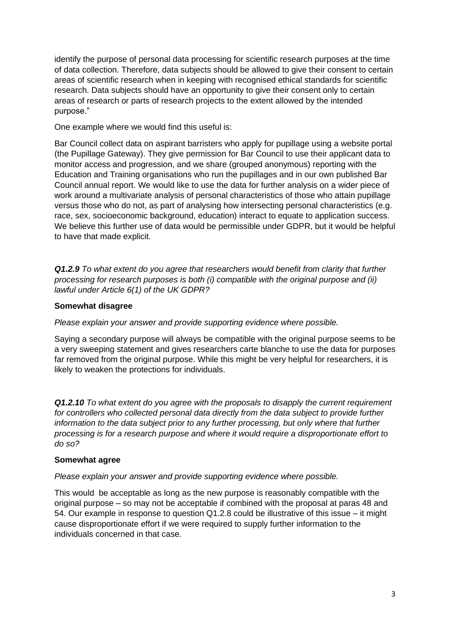identify the purpose of personal data processing for scientific research purposes at the time of data collection. Therefore, data subjects should be allowed to give their consent to certain areas of scientific research when in keeping with recognised ethical standards for scientific research. Data subjects should have an opportunity to give their consent only to certain areas of research or parts of research projects to the extent allowed by the intended purpose."

One example where we would find this useful is:

Bar Council collect data on aspirant barristers who apply for pupillage using a website portal (the Pupillage Gateway). They give permission for Bar Council to use their applicant data to monitor access and progression, and we share (grouped anonymous) reporting with the Education and Training organisations who run the pupillages and in our own published Bar Council annual report. We would like to use the data for further analysis on a wider piece of work around a multivariate analysis of personal characteristics of those who attain pupillage versus those who do not, as part of analysing how intersecting personal characteristics (e.g. race, sex, socioeconomic background, education) interact to equate to application success. We believe this further use of data would be permissible under GDPR, but it would be helpful to have that made explicit.

*Q1.2.9 To what extent do you agree that researchers would benefit from clarity that further processing for research purposes is both (i) compatible with the original purpose and (ii) lawful under Article 6(1) of the UK GDPR?*

### **Somewhat disagree**

*Please explain your answer and provide supporting evidence where possible.*

Saying a secondary purpose will always be compatible with the original purpose seems to be a very sweeping statement and gives researchers carte blanche to use the data for purposes far removed from the original purpose. While this might be very helpful for researchers, it is likely to weaken the protections for individuals.

*Q1.2.10 To what extent do you agree with the proposals to disapply the current requirement for controllers who collected personal data directly from the data subject to provide further information to the data subject prior to any further processing, but only where that further processing is for a research purpose and where it would require a disproportionate effort to do so?*

#### **Somewhat agree**

*Please explain your answer and provide supporting evidence where possible.*

This would be acceptable as long as the new purpose is reasonably compatible with the original purpose – so may not be acceptable if combined with the proposal at paras 48 and 54. Our example in response to question Q1.2.8 could be illustrative of this issue – it might cause disproportionate effort if we were required to supply further information to the individuals concerned in that case.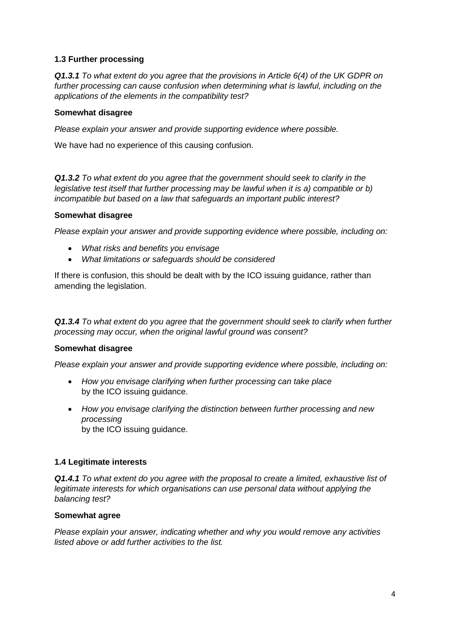### **1.3 Further processing**

*Q1.3.1 To what extent do you agree that the provisions in Article 6(4) of the UK GDPR on further processing can cause confusion when determining what is lawful, including on the applications of the elements in the compatibility test?*

#### **Somewhat disagree**

*Please explain your answer and provide supporting evidence where possible.*

We have had no experience of this causing confusion.

*Q1.3.2 To what extent do you agree that the government should seek to clarify in the legislative test itself that further processing may be lawful when it is a) compatible or b) incompatible but based on a law that safeguards an important public interest?*

#### **Somewhat disagree**

*Please explain your answer and provide supporting evidence where possible, including on:*

- *What risks and benefits you envisage*
- *What limitations or safeguards should be considered*

If there is confusion, this should be dealt with by the ICO issuing guidance, rather than amending the legislation.

*Q1.3.4 To what extent do you agree that the government should seek to clarify when further processing may occur, when the original lawful ground was consent?*

#### **Somewhat disagree**

*Please explain your answer and provide supporting evidence where possible, including on:*

- *How you envisage clarifying when further processing can take place* by the ICO issuing guidance.
- *How you envisage clarifying the distinction between further processing and new processing* by the ICO issuing guidance.

#### **1.4 Legitimate interests**

*Q1.4.1 To what extent do you agree with the proposal to create a limited, exhaustive list of legitimate interests for which organisations can use personal data without applying the balancing test?*

#### **Somewhat agree**

*Please explain your answer, indicating whether and why you would remove any activities listed above or add further activities to the list.*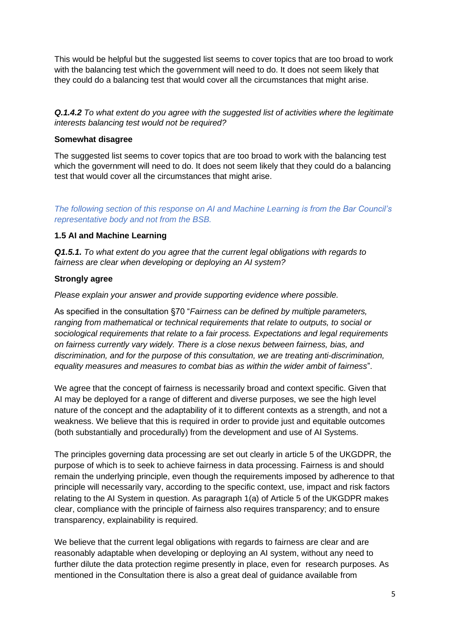This would be helpful but the suggested list seems to cover topics that are too broad to work with the balancing test which the government will need to do. It does not seem likely that they could do a balancing test that would cover all the circumstances that might arise.

*Q.1.4.2 To what extent do you agree with the suggested list of activities where the legitimate interests balancing test would not be required?*

#### **Somewhat disagree**

The suggested list seems to cover topics that are too broad to work with the balancing test which the government will need to do. It does not seem likely that they could do a balancing test that would cover all the circumstances that might arise.

*The following section of this response on AI and Machine Learning is from the Bar Council's representative body and not from the BSB.*

### **1.5 AI and Machine Learning**

*Q1.5.1. To what extent do you agree that the current legal obligations with regards to fairness are clear when developing or deploying an AI system?*

### **Strongly agree**

*Please explain your answer and provide supporting evidence where possible.*

As specified in the consultation §70 "*Fairness can be defined by multiple parameters, ranging from mathematical or technical requirements that relate to outputs, to social or sociological requirements that relate to a fair process. Expectations and legal requirements on fairness currently vary widely. There is a close nexus between fairness, bias, and discrimination, and for the purpose of this consultation, we are treating anti-discrimination, equality measures and measures to combat bias as within the wider ambit of fairness*".

We agree that the concept of fairness is necessarily broad and context specific. Given that AI may be deployed for a range of different and diverse purposes, we see the high level nature of the concept and the adaptability of it to different contexts as a strength, and not a weakness. We believe that this is required in order to provide just and equitable outcomes (both substantially and procedurally) from the development and use of AI Systems.

The principles governing data processing are set out clearly in article 5 of the UKGDPR, the purpose of which is to seek to achieve fairness in data processing. Fairness is and should remain the underlying principle, even though the requirements imposed by adherence to that principle will necessarily vary, according to the specific context, use, impact and risk factors relating to the AI System in question. As paragraph 1(a) of Article 5 of the UKGDPR makes clear, compliance with the principle of fairness also requires transparency; and to ensure transparency, explainability is required.

We believe that the current legal obligations with regards to fairness are clear and are reasonably adaptable when developing or deploying an AI system, without any need to further dilute the data protection regime presently in place, even for research purposes. As mentioned in the Consultation there is also a great deal of guidance available from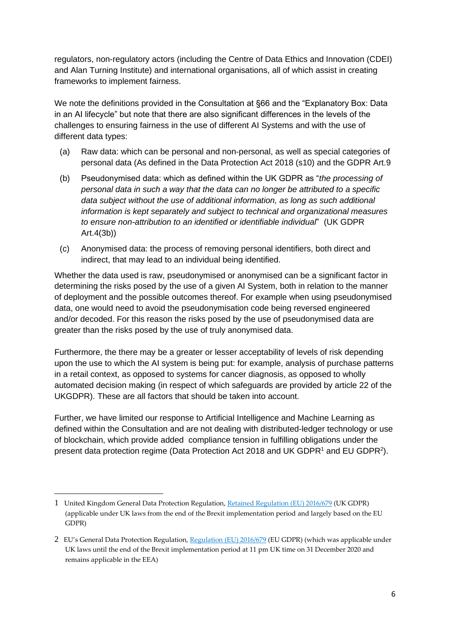regulators, non-regulatory actors (including the Centre of Data Ethics and Innovation (CDEI) and Alan Turning Institute) and international organisations, all of which assist in creating frameworks to implement fairness.

We note the definitions provided in the Consultation at §66 and the "Explanatory Box: Data in an AI lifecycle" but note that there are also significant differences in the levels of the challenges to ensuring fairness in the use of different AI Systems and with the use of different data types:

- (a) Raw data: which can be personal and non-personal, as well as special categories of personal data (As defined in the Data Protection Act 2018 (s10) and the GDPR Art.9
- (b) Pseudonymised data: which as defined within the UK GDPR as "*the processing of personal data in such a way that the data can no longer be attributed to a specific data subject without the use of additional information, as long as such additional information is kept separately and subject to technical and organizational measures to ensure non-attribution to an identified or identifiable individual*" (UK GDPR Art.4(3b))
- (c) Anonymised data: the process of removing personal identifiers, both direct and indirect, that may lead to an individual being identified.

Whether the data used is raw, pseudonymised or anonymised can be a significant factor in determining the risks posed by the use of a given AI System, both in relation to the manner of deployment and the possible outcomes thereof. For example when using pseudonymised data, one would need to avoid the pseudonymisation code being reversed engineered and/or decoded. For this reason the risks posed by the use of pseudonymised data are greater than the risks posed by the use of truly anonymised data.

Furthermore, the there may be a greater or lesser acceptability of levels of risk depending upon the use to which the AI system is being put: for example, analysis of purchase patterns in a retail context, as opposed to systems for cancer diagnosis, as opposed to wholly automated decision making (in respect of which safeguards are provided by article 22 of the UKGDPR). These are all factors that should be taken into account.

Further, we have limited our response to Artificial Intelligence and Machine Learning as defined within the Consultation and are not dealing with distributed-ledger technology or use of blockchain, which provide added compliance tension in fulfilling obligations under the present data protection regime (Data Protection Act 2018 and UK GDPR<sup>1</sup> and EU GDPR<sup>2</sup>).

<sup>1</sup> United Kingdom General Data Protection Regulation, [Retained Regulation \(EU\) 2016/679](https://www.lexisnexis.com/uk/lexispsl/tmt/document/393990/5YBR-3PD3-CGXG-0369-00000-00/linkHandler.faces?psldocinfo=Profiling_and_automated_decision_making&linkInfo=F%23GB%23UK_EULEG%23num%2532016RR0679_title%25&A=0.013083195955006621&bct=A&ps=null&risb=&service=citation&langcountry=GB) (UK GDPR) (applicable under UK laws from the end of the Brexit implementation period and largely based on the EU GDPR)

<sup>2</sup> EU's General Data Protection Regulation, [Regulation \(EU\) 2016/679](https://www.lexisnexis.com/uk/lexispsl/tmt/document/393990/5YBR-3PD3-CGXG-0369-00000-00/linkHandler.faces?psldocinfo=Profiling_and_automated_decision_making&linkInfo=F%23GB%23UK_EULEG%23num%2532016R0679_title%25&A=0.8075852358494997&bct=A&ps=null&risb=&service=citation&langcountry=GB) (EU GDPR) (which was applicable under UK laws until the end of the Brexit implementation period at 11 pm UK time on 31 December 2020 and remains applicable in the EEA)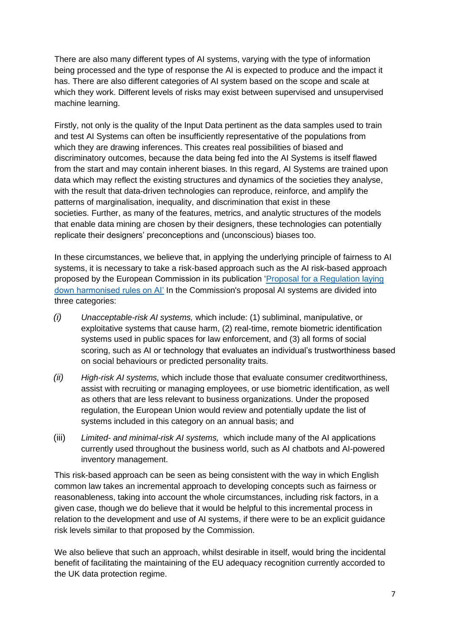There are also many different types of AI systems, varying with the type of information being processed and the type of response the AI is expected to produce and the impact it has. There are also different categories of AI system based on the scope and scale at which they work. Different levels of risks may exist between supervised and unsupervised machine learning.

Firstly, not only is the quality of the Input Data pertinent as the data samples used to train and test AI Systems can often be insufficiently representative of the populations from which they are drawing inferences. This creates real possibilities of biased and discriminatory outcomes, because the data being fed into the AI Systems is itself flawed from the start and may contain inherent biases. In this regard, AI Systems are trained upon data which may reflect the existing structures and dynamics of the societies they analyse, with the result that data-driven technologies can reproduce, reinforce, and amplify the patterns of marginalisation, inequality, and discrimination that exist in these societies. Further, as many of the features, metrics, and analytic structures of the models that enable data mining are chosen by their designers, these technologies can potentially replicate their designers' preconceptions and (unconscious) biases too.

In these circumstances, we believe that, in applying the underlying principle of fairness to AI systems, it is necessary to take a risk-based approach such as the AI risk-based approach proposed by the European Commission in its publication ['Proposal for a Regulation laying](https://ec.europa.eu/commission/presscorner/detail/en/ip_21_1682)  [down harmonised rules on AI'](https://ec.europa.eu/commission/presscorner/detail/en/ip_21_1682) In the Commission's proposal AI systems are divided into three categories:

- *(i) Unacceptable-risk AI systems,* which include: (1) subliminal, manipulative, or exploitative systems that cause harm, (2) real-time, remote biometric identification systems used in public spaces for law enforcement, and (3) all forms of social scoring, such as AI or technology that evaluates an individual's trustworthiness based on social behaviours or predicted personality traits.
- *(ii) High-risk AI systems,* which include those that evaluate consumer creditworthiness, assist with recruiting or managing employees, or use biometric identification, as well as others that are less relevant to business organizations. Under the proposed regulation, the European Union would review and potentially update the list of systems included in this category on an annual basis; and
- (iii) *Limited- and minimal-risk AI systems,* which include many of the AI applications currently used throughout the business world, such as AI chatbots and AI-powered inventory management.

This risk-based approach can be seen as being consistent with the way in which English common law takes an incremental approach to developing concepts such as fairness or reasonableness, taking into account the whole circumstances, including risk factors, in a given case, though we do believe that it would be helpful to this incremental process in relation to the development and use of AI systems, if there were to be an explicit guidance risk levels similar to that proposed by the Commission.

We also believe that such an approach, whilst desirable in itself, would bring the incidental benefit of facilitating the maintaining of the EU adequacy recognition currently accorded to the UK data protection regime.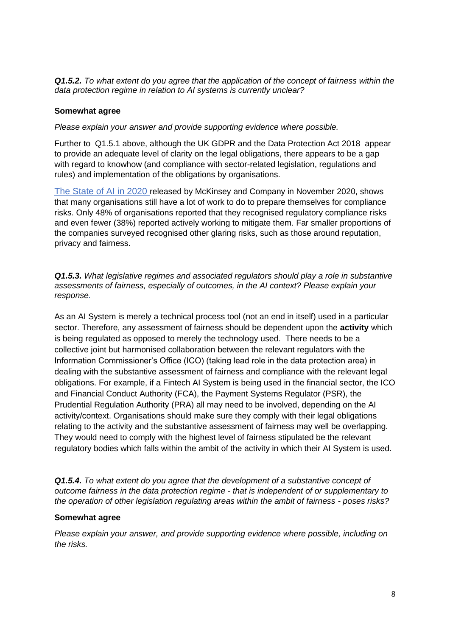*Q1.5.2. To what extent do you agree that the application of the concept of fairness within the data protection regime in relation to AI systems is currently unclear?*

#### **Somewhat agree**

*Please explain your answer and provide supporting evidence where possible.*

Further to Q1.5.1 above, although the UK GDPR and the Data Protection Act 2018 appear to provide an adequate level of clarity on the legal obligations, there appears to be a gap with regard to knowhow (and compliance with sector-related legislation, regulations and rules) and implementation of the obligations by organisations.

[The State of AI in 2020](https://www.mckinsey.com/business-functions/mckinsey-analytics/our-insights/global-survey-the-state-of-ai-in-2020) released by McKinsey and Company in November 2020, shows that many organisations still have a lot of work to do to prepare themselves for compliance risks. Only 48% of organisations reported that they recognised regulatory compliance risks and even fewer (38%) reported actively working to mitigate them. Far smaller proportions of the companies surveyed recognised other glaring risks, such as those around reputation, privacy and fairness.

*Q1.5.3. What legislative regimes and associated regulators should play a role in substantive assessments of fairness, especially of outcomes, in the AI context? Please explain your response.*

As an AI System is merely a technical process tool (not an end in itself) used in a particular sector. Therefore, any assessment of fairness should be dependent upon the **activity** which is being regulated as opposed to merely the technology used. There needs to be a collective joint but harmonised collaboration between the relevant regulators with the Information Commissioner's Office (ICO) (taking lead role in the data protection area) in dealing with the substantive assessment of fairness and compliance with the relevant legal obligations. For example, if a Fintech AI System is being used in the financial sector, the ICO and Financial Conduct Authority (FCA), the Payment Systems Regulator (PSR), the Prudential Regulation Authority (PRA) all may need to be involved, depending on the AI activity/context. Organisations should make sure they comply with their legal obligations relating to the activity and the substantive assessment of fairness may well be overlapping. They would need to comply with the highest level of fairness stipulated be the relevant regulatory bodies which falls within the ambit of the activity in which their AI System is used.

*Q1.5.4. To what extent do you agree that the development of a substantive concept of outcome fairness in the data protection regime - that is independent of or supplementary to the operation of other legislation regulating areas within the ambit of fairness - poses risks?*

#### **Somewhat agree**

*Please explain your answer, and provide supporting evidence where possible, including on the risks.*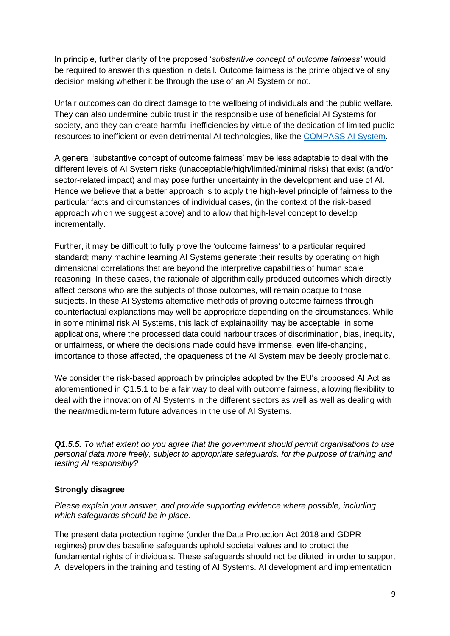In principle, further clarity of the proposed '*substantive concept of outcome fairness'* would be required to answer this question in detail. Outcome fairness is the prime objective of any decision making whether it be through the use of an AI System or not.

Unfair outcomes can do direct damage to the wellbeing of individuals and the public welfare. They can also undermine public trust in the responsible use of beneficial AI Systems for society, and they can create harmful inefficiencies by virtue of the dedication of limited public resources to inefficient or even detrimental AI technologies, like the [COMPASS AI System.](https://www.propublica.org/article/machine-bias-risk-assessments-in-criminal-sentencing)

A general 'substantive concept of outcome fairness' may be less adaptable to deal with the different levels of AI System risks (unacceptable/high/limited/minimal risks) that exist (and/or sector-related impact) and may pose further uncertainty in the development and use of AI. Hence we believe that a better approach is to apply the high-level principle of fairness to the particular facts and circumstances of individual cases, (in the context of the risk-based approach which we suggest above) and to allow that high-level concept to develop incrementally.

Further, it may be difficult to fully prove the 'outcome fairness' to a particular required standard; many machine learning AI Systems generate their results by operating on high dimensional correlations that are beyond the interpretive capabilities of human scale reasoning. In these cases, the rationale of algorithmically produced outcomes which directly affect persons who are the subjects of those outcomes, will remain opaque to those subjects. In these AI Systems alternative methods of proving outcome fairness through counterfactual explanations may well be appropriate depending on the circumstances. While in some minimal risk AI Systems, this lack of explainability may be acceptable, in some applications, where the processed data could harbour traces of discrimination, bias, inequity, or unfairness, or where the decisions made could have immense, even life-changing, importance to those affected, the opaqueness of the AI System may be deeply problematic.

We consider the risk-based approach by principles adopted by the EU's proposed AI Act as aforementioned in Q1.5.1 to be a fair way to deal with outcome fairness, allowing flexibility to deal with the innovation of AI Systems in the different sectors as well as well as dealing with the near/medium-term future advances in the use of AI Systems.

*Q1.5.5. To what extent do you agree that the government should permit organisations to use personal data more freely, subject to appropriate safeguards, for the purpose of training and testing AI responsibly?*

#### **Strongly disagree**

*Please explain your answer, and provide supporting evidence where possible, including which safeguards should be in place.* 

The present data protection regime (under the Data Protection Act 2018 and GDPR regimes) provides baseline safeguards uphold societal values and to protect the fundamental rights of individuals. These safeguards should not be diluted in order to support AI developers in the training and testing of AI Systems. AI development and implementation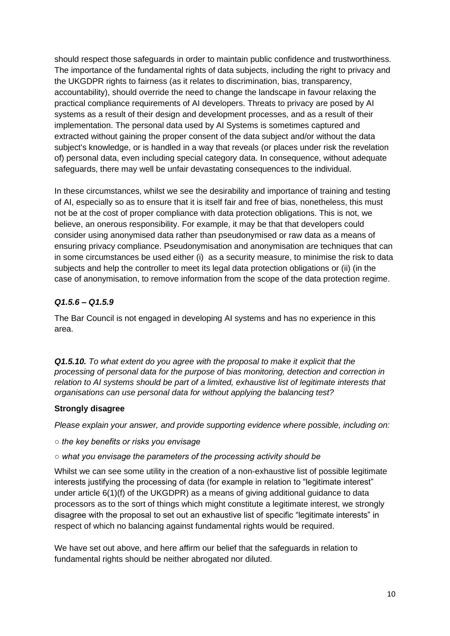should respect those safeguards in order to maintain public confidence and trustworthiness. The importance of the fundamental rights of data subjects, including the right to privacy and the UKGDPR rights to fairness (as it relates to discrimination, bias, transparency, accountability), should override the need to change the landscape in favour relaxing the practical compliance requirements of AI developers. Threats to privacy are posed by AI systems as a result of their design and development processes, and as a result of their implementation. The personal data used by AI Systems is sometimes captured and extracted without gaining the proper consent of the data subject and/or without the data subject's knowledge, or is handled in a way that reveals (or places under risk the revelation of) personal data, even including special category data. In consequence, without adequate safeguards, there may well be unfair devastating consequences to the individual.

In these circumstances, whilst we see the desirability and importance of training and testing of AI, especially so as to ensure that it is itself fair and free of bias, nonetheless, this must not be at the cost of proper compliance with data protection obligations. This is not, we believe, an onerous responsibility. For example, it may be that that developers could consider using anonymised data rather than pseudonymised or raw data as a means of ensuring privacy compliance. Pseudonymisation and anonymisation are techniques that can in some circumstances be used either (i) as a security measure, to minimise the risk to data subjects and help the controller to meet its legal data protection obligations or (ii) (in the case of anonymisation, to remove information from the scope of the data protection regime.

### *Q1.5.6 – Q1.5.9*

The Bar Council is not engaged in developing AI systems and has no experience in this area.

*Q1.5.10. To what extent do you agree with the proposal to make it explicit that the processing of personal data for the purpose of bias monitoring, detection and correction in relation to AI systems should be part of a limited, exhaustive list of legitimate interests that organisations can use personal data for without applying the balancing test?* 

### **Strongly disagree**

*Please explain your answer, and provide supporting evidence where possible, including on:* 

*○ the key benefits or risks you envisage* 

### *○ what you envisage the parameters of the processing activity should be*

Whilst we can see some utility in the creation of a non-exhaustive list of possible legitimate interests justifying the processing of data (for example in relation to "legitimate interest" under article 6(1)(f) of the UKGDPR) as a means of giving additional guidance to data processors as to the sort of things which might constitute a legitimate interest, we strongly disagree with the proposal to set out an exhaustive list of specific "legitimate interests" in respect of which no balancing against fundamental rights would be required.

We have set out above, and here affirm our belief that the safeguards in relation to fundamental rights should be neither abrogated nor diluted.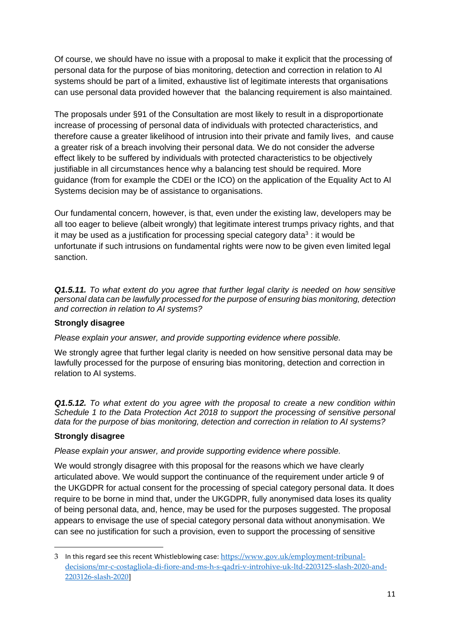Of course, we should have no issue with a proposal to make it explicit that the processing of personal data for the purpose of bias monitoring, detection and correction in relation to AI systems should be part of a limited, exhaustive list of legitimate interests that organisations can use personal data provided however that the balancing requirement is also maintained.

The proposals under §91 of the Consultation are most likely to result in a disproportionate increase of processing of personal data of individuals with protected characteristics, and therefore cause a greater likelihood of intrusion into their private and family lives, and cause a greater risk of a breach involving their personal data. We do not consider the adverse effect likely to be suffered by individuals with protected characteristics to be objectively justifiable in all circumstances hence why a balancing test should be required. More guidance (from for example the CDEI or the ICO) on the application of the Equality Act to AI Systems decision may be of assistance to organisations.

Our fundamental concern, however, is that, even under the existing law, developers may be all too eager to believe (albeit wrongly) that legitimate interest trumps privacy rights, and that it may be used as a justification for processing special category data<sup>3</sup>: it would be unfortunate if such intrusions on fundamental rights were now to be given even limited legal sanction.

*Q1.5.11. To what extent do you agree that further legal clarity is needed on how sensitive personal data can be lawfully processed for the purpose of ensuring bias monitoring, detection and correction in relation to AI systems?*

### **Strongly disagree**

*Please explain your answer, and provide supporting evidence where possible.*

We strongly agree that further legal clarity is needed on how sensitive personal data may be lawfully processed for the purpose of ensuring bias monitoring, detection and correction in relation to AI systems.

*Q1.5.12. To what extent do you agree with the proposal to create a new condition within Schedule 1 to the Data Protection Act 2018 to support the processing of sensitive personal data for the purpose of bias monitoring, detection and correction in relation to AI systems?*

### **Strongly disagree**

*Please explain your answer, and provide supporting evidence where possible.*

We would strongly disagree with this proposal for the reasons which we have clearly articulated above. We would support the continuance of the requirement under article 9 of the UKGDPR for actual consent for the processing of special category personal data. It does require to be borne in mind that, under the UKGDPR, fully anonymised data loses its quality of being personal data, and, hence, may be used for the purposes suggested. The proposal appears to envisage the use of special category personal data without anonymisation. We can see no justification for such a provision, even to support the processing of sensitive

<sup>3</sup> In this regard see this recent Whistleblowing case: [https://www.gov.uk/employment-tribunal](https://www.gov.uk/employment-tribunal-decisions/mr-c-costagliola-di-fiore-and-ms-h-s-qadri-v-introhive-uk-ltd-2203125-slash-2020-and-2203126-slash-2020)[decisions/mr-c-costagliola-di-fiore-and-ms-h-s-qadri-v-introhive-uk-ltd-2203125-slash-2020-and-](https://www.gov.uk/employment-tribunal-decisions/mr-c-costagliola-di-fiore-and-ms-h-s-qadri-v-introhive-uk-ltd-2203125-slash-2020-and-2203126-slash-2020)[2203126-slash-2020\]](https://www.gov.uk/employment-tribunal-decisions/mr-c-costagliola-di-fiore-and-ms-h-s-qadri-v-introhive-uk-ltd-2203125-slash-2020-and-2203126-slash-2020)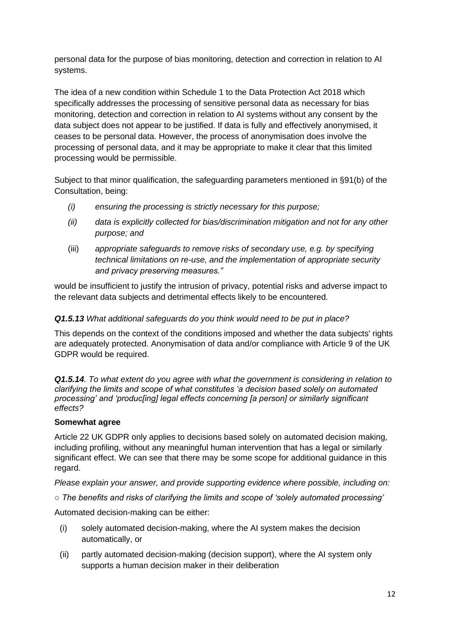personal data for the purpose of bias monitoring, detection and correction in relation to AI systems.

The idea of a new condition within Schedule 1 to the Data Protection Act 2018 which specifically addresses the processing of sensitive personal data as necessary for bias monitoring, detection and correction in relation to AI systems without any consent by the data subject does not appear to be justified. If data is fully and effectively anonymised, it ceases to be personal data. However, the process of anonymisation does involve the processing of personal data, and it may be appropriate to make it clear that this limited processing would be permissible.

Subject to that minor qualification, the safeguarding parameters mentioned in §91(b) of the Consultation, being:

- *(i) ensuring the processing is strictly necessary for this purpose;*
- *(ii) data is explicitly collected for bias/discrimination mitigation and not for any other purpose; and*
- (iii) *appropriate safeguards to remove risks of secondary use, e.g. by specifying technical limitations on re-use, and the implementation of appropriate security and privacy preserving measures."*

would be insufficient to justify the intrusion of privacy, potential risks and adverse impact to the relevant data subjects and detrimental effects likely to be encountered.

### *Q1.5.13 What additional safeguards do you think would need to be put in place?*

This depends on the context of the conditions imposed and whether the data subjects' rights are adequately protected. Anonymisation of data and/or compliance with Article 9 of the UK GDPR would be required.

*Q1.5.14. To what extent do you agree with what the government is considering in relation to clarifying the limits and scope of what constitutes 'a decision based solely on automated processing' and 'produc[ing] legal effects concerning [a person] or similarly significant effects?*

### **Somewhat agree**

Article 22 UK GDPR only applies to decisions based solely on automated decision making, including profiling, without any meaningful human intervention that has a legal or similarly significant effect. We can see that there may be some scope for additional guidance in this regard.

*Please explain your answer, and provide supporting evidence where possible, including on:* 

*○ The benefits and risks of clarifying the limits and scope of 'solely automated processing'*

Automated decision-making can be either:

- (i) solely automated decision-making, where the AI system makes the decision automatically, or
- (ii) partly automated decision-making (decision support), where the AI system only supports a human decision maker in their deliberation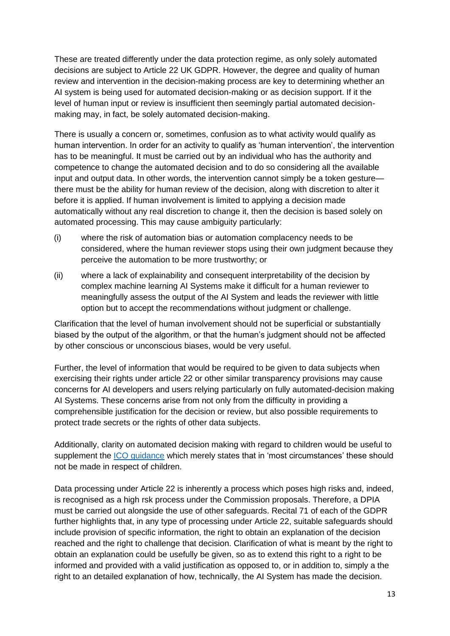These are treated differently under the data protection regime, as only solely automated decisions are subject to Article 22 UK GDPR. However, the degree and quality of human review and intervention in the decision-making process are key to determining whether an AI system is being used for automated decision-making or as decision support. If it the level of human input or review is insufficient then seemingly partial automated decisionmaking may, in fact, be solely automated decision-making.

There is usually a concern or, sometimes, confusion as to what activity would qualify as human intervention. In order for an activity to qualify as 'human intervention', the intervention has to be meaningful. It must be carried out by an individual who has the authority and competence to change the automated decision and to do so considering all the available input and output data. In other words, the intervention cannot simply be a token gesture there must be the ability for human review of the decision, along with discretion to alter it before it is applied. If human involvement is limited to applying a decision made automatically without any real discretion to change it, then the decision is based solely on automated processing. This may cause ambiguity particularly:

- (i) where the risk of automation bias or automation complacency needs to be considered, where the human reviewer stops using their own judgment because they perceive the automation to be more trustworthy; or
- (ii) where a lack of explainability and consequent interpretability of the decision by complex machine learning AI Systems make it difficult for a human reviewer to meaningfully assess the output of the AI System and leads the reviewer with little option but to accept the recommendations without judgment or challenge.

Clarification that the level of human involvement should not be superficial or substantially biased by the output of the algorithm, or that the human's judgment should not be affected by other conscious or unconscious biases, would be very useful.

Further, the level of information that would be required to be given to data subjects when exercising their rights under article 22 or other similar transparency provisions may cause concerns for AI developers and users relying particularly on fully automated-decision making AI Systems. These concerns arise from not only from the difficulty in providing a comprehensible justification for the decision or review, but also possible requirements to protect trade secrets or the rights of other data subjects.

Additionally, clarity on automated decision making with regard to children would be useful to supplement the [ICO guidance](https://ico.org.uk/for-organisations/guide-to-data-protection/key-dp-themes/children/) which merely states that in 'most circumstances' these should not be made in respect of children.

Data processing under Article 22 is inherently a process which poses high risks and, indeed, is recognised as a high rsk process under the Commission proposals. Therefore, a DPIA must be carried out alongside the use of other safeguards. Recital 71 of each of the GDPR further highlights that, in any type of processing under Article 22, suitable safeguards should include provision of specific information, the right to obtain an explanation of the decision reached and the right to challenge that decision. Clarification of what is meant by the right to obtain an explanation could be usefully be given, so as to extend this right to a right to be informed and provided with a valid justification as opposed to, or in addition to, simply a the right to an detailed explanation of how, technically, the AI System has made the decision.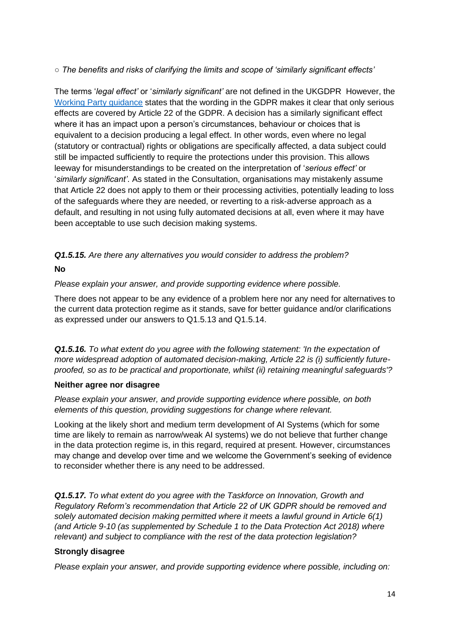*○ The benefits and risks of clarifying the limits and scope of 'similarly significant effects'*

The terms '*legal effect'* or '*similarly significant'* are not defined in the UKGDPR However, the [Working Party guidance](https://ec.europa.eu/newsroom/article29/items/612053) states that the wording in the GDPR makes it clear that only serious effects are covered by Article 22 of the GDPR. A decision has a similarly significant effect where it has an impact upon a person's circumstances, behaviour or choices that is equivalent to a decision producing a legal effect. In other words, even where no legal (statutory or contractual) rights or obligations are specifically affected, a data subject could still be impacted sufficiently to require the protections under this provision. This allows leeway for misunderstandings to be created on the interpretation of '*serious effect'* or '*similarly significant'*. As stated in the Consultation, organisations may mistakenly assume that Article 22 does not apply to them or their processing activities, potentially leading to loss of the safeguards where they are needed, or reverting to a risk-adverse approach as a default, and resulting in not using fully automated decisions at all, even where it may have been acceptable to use such decision making systems.

*Q1.5.15. Are there any alternatives you would consider to address the problem?*

### **No**

*Please explain your answer, and provide supporting evidence where possible.*

There does not appear to be any evidence of a problem here nor any need for alternatives to the current data protection regime as it stands, save for better guidance and/or clarifications as expressed under our answers to Q1.5.13 and Q1.5.14.

**Q1.5.16.** To what extent do you agree with the following statement: 'In the expectation of *more widespread adoption of automated decision-making, Article 22 is (i) sufficiently futureproofed, so as to be practical and proportionate, whilst (ii) retaining meaningful safeguards'?*

### **Neither agree nor disagree**

*Please explain your answer, and provide supporting evidence where possible, on both elements of this question, providing suggestions for change where relevant.*

Looking at the likely short and medium term development of AI Systems (which for some time are likely to remain as narrow/weak AI systems) we do not believe that further change in the data protection regime is, in this regard, required at present. However, circumstances may change and develop over time and we welcome the Government's seeking of evidence to reconsider whether there is any need to be addressed.

*Q1.5.17. To what extent do you agree with the Taskforce on Innovation, Growth and Regulatory Reform's recommendation that Article 22 of UK GDPR should be removed and solely automated decision making permitted where it meets a lawful ground in Article 6(1) (and Article 9-10 (as supplemented by Schedule 1 to the Data Protection Act 2018) where relevant) and subject to compliance with the rest of the data protection legislation?*

### **Strongly disagree**

*Please explain your answer, and provide supporting evidence where possible, including on:*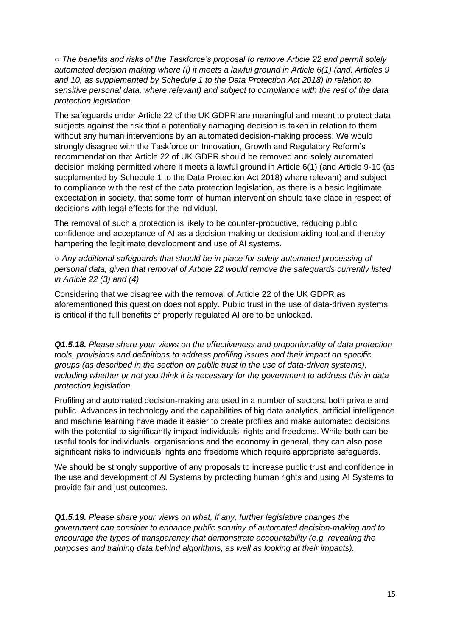*○ The benefits and risks of the Taskforce's proposal to remove Article 22 and permit solely automated decision making where (i) it meets a lawful ground in Article 6(1) (and, Articles 9 and 10, as supplemented by Schedule 1 to the Data Protection Act 2018) in relation to sensitive personal data, where relevant) and subject to compliance with the rest of the data protection legislation.* 

The safeguards under Article 22 of the UK GDPR are meaningful and meant to protect data subjects against the risk that a potentially damaging decision is taken in relation to them without any human interventions by an automated decision-making process. We would strongly disagree with the Taskforce on Innovation, Growth and Regulatory Reform's recommendation that Article 22 of UK GDPR should be removed and solely automated decision making permitted where it meets a lawful ground in Article 6(1) (and Article 9-10 (as supplemented by Schedule 1 to the Data Protection Act 2018) where relevant) and subject to compliance with the rest of the data protection legislation, as there is a basic legitimate expectation in society, that some form of human intervention should take place in respect of decisions with legal effects for the individual.

The removal of such a protection is likely to be counter-productive, reducing public confidence and acceptance of AI as a decision-making or decision-aiding tool and thereby hampering the legitimate development and use of AI systems.

*○ Any additional safeguards that should be in place for solely automated processing of personal data, given that removal of Article 22 would remove the safeguards currently listed in Article 22 (3) and (4)*

Considering that we disagree with the removal of Article 22 of the UK GDPR as aforementioned this question does not apply. Public trust in the use of data-driven systems is critical if the full benefits of properly regulated AI are to be unlocked.

*Q1.5.18. Please share your views on the effectiveness and proportionality of data protection tools, provisions and definitions to address profiling issues and their impact on specific groups (as described in the section on public trust in the use of data-driven systems), including whether or not you think it is necessary for the government to address this in data protection legislation.*

Profiling and automated decision-making are used in a number of sectors, both private and public. Advances in technology and the capabilities of big data analytics, artificial intelligence and machine learning have made it easier to create profiles and make automated decisions with the potential to significantly impact individuals' rights and freedoms. While both can be useful tools for individuals, organisations and the economy in general, they can also pose significant risks to individuals' rights and freedoms which require appropriate safeguards.

We should be strongly supportive of any proposals to increase public trust and confidence in the use and development of AI Systems by protecting human rights and using AI Systems to provide fair and just outcomes.

*Q1.5.19. Please share your views on what, if any, further legislative changes the government can consider to enhance public scrutiny of automated decision-making and to encourage the types of transparency that demonstrate accountability (e.g. revealing the purposes and training data behind algorithms, as well as looking at their impacts).*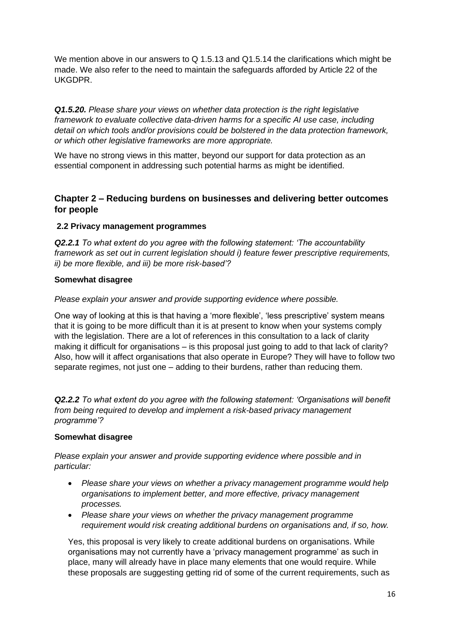We mention above in our answers to Q 1.5.13 and Q1.5.14 the clarifications which might be made. We also refer to the need to maintain the safeguards afforded by Article 22 of the UKGDPR.

*Q1.5.20. Please share your views on whether data protection is the right legislative framework to evaluate collective data-driven harms for a specific AI use case, including detail on which tools and/or provisions could be bolstered in the data protection framework, or which other legislative frameworks are more appropriate.*

We have no strong views in this matter, beyond our support for data protection as an essential component in addressing such potential harms as might be identified.

### **Chapter 2 – Reducing burdens on businesses and delivering better outcomes for people**

### **2.2 Privacy management programmes**

*Q2.2.1 To what extent do you agree with the following statement: 'The accountability framework as set out in current legislation should i) feature fewer prescriptive requirements, ii) be more flexible, and iii) be more risk-based'?*

### **Somewhat disagree**

#### *Please explain your answer and provide supporting evidence where possible.*

One way of looking at this is that having a 'more flexible', 'less prescriptive' system means that it is going to be more difficult than it is at present to know when your systems comply with the legislation. There are a lot of references in this consultation to a lack of clarity making it difficult for organisations – is this proposal just going to add to that lack of clarity? Also, how will it affect organisations that also operate in Europe? They will have to follow two separate regimes, not just one – adding to their burdens, rather than reducing them.

*Q2.2.2 To what extent do you agree with the following statement: 'Organisations will benefit from being required to develop and implement a risk-based privacy management programme'?*

#### **Somewhat disagree**

*Please explain your answer and provide supporting evidence where possible and in particular:*

- *Please share your views on whether a privacy management programme would help organisations to implement better, and more effective, privacy management processes.*
- *Please share your views on whether the privacy management programme requirement would risk creating additional burdens on organisations and, if so, how.*

Yes, this proposal is very likely to create additional burdens on organisations. While organisations may not currently have a 'privacy management programme' as such in place, many will already have in place many elements that one would require. While these proposals are suggesting getting rid of some of the current requirements, such as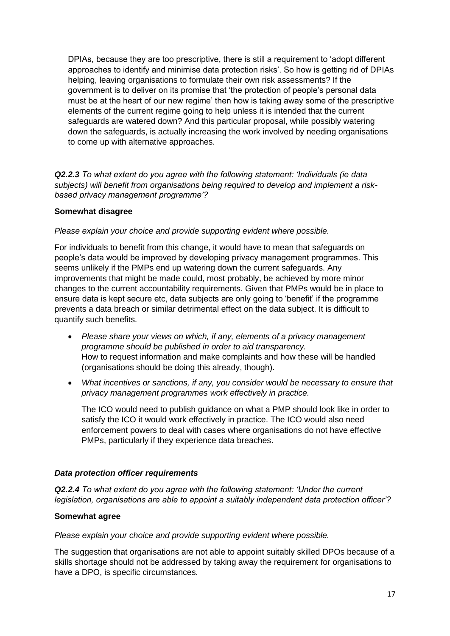DPIAs, because they are too prescriptive, there is still a requirement to 'adopt different approaches to identify and minimise data protection risks'. So how is getting rid of DPIAs helping, leaving organisations to formulate their own risk assessments? If the government is to deliver on its promise that 'the protection of people's personal data must be at the heart of our new regime' then how is taking away some of the prescriptive elements of the current regime going to help unless it is intended that the current safeguards are watered down? And this particular proposal, while possibly watering down the safeguards, is actually increasing the work involved by needing organisations to come up with alternative approaches.

*Q2.2.3 To what extent do you agree with the following statement: 'Individuals (ie data subjects) will benefit from organisations being required to develop and implement a riskbased privacy management programme'?*

### **Somewhat disagree**

#### *Please explain your choice and provide supporting evident where possible.*

For individuals to benefit from this change, it would have to mean that safeguards on people's data would be improved by developing privacy management programmes. This seems unlikely if the PMPs end up watering down the current safeguards. Any improvements that might be made could, most probably, be achieved by more minor changes to the current accountability requirements. Given that PMPs would be in place to ensure data is kept secure etc, data subjects are only going to 'benefit' if the programme prevents a data breach or similar detrimental effect on the data subject. It is difficult to quantify such benefits.

- *Please share your views on which, if any, elements of a privacy management programme should be published in order to aid transparency.*  How to request information and make complaints and how these will be handled (organisations should be doing this already, though).
- *What incentives or sanctions, if any, you consider would be necessary to ensure that privacy management programmes work effectively in practice.*

The ICO would need to publish guidance on what a PMP should look like in order to satisfy the ICO it would work effectively in practice. The ICO would also need enforcement powers to deal with cases where organisations do not have effective PMPs, particularly if they experience data breaches.

#### *Data protection officer requirements*

*Q2.2.4 To what extent do you agree with the following statement: 'Under the current legislation, organisations are able to appoint a suitably independent data protection officer'?*

#### **Somewhat agree**

*Please explain your choice and provide supporting evident where possible.*

The suggestion that organisations are not able to appoint suitably skilled DPOs because of a skills shortage should not be addressed by taking away the requirement for organisations to have a DPO, is specific circumstances.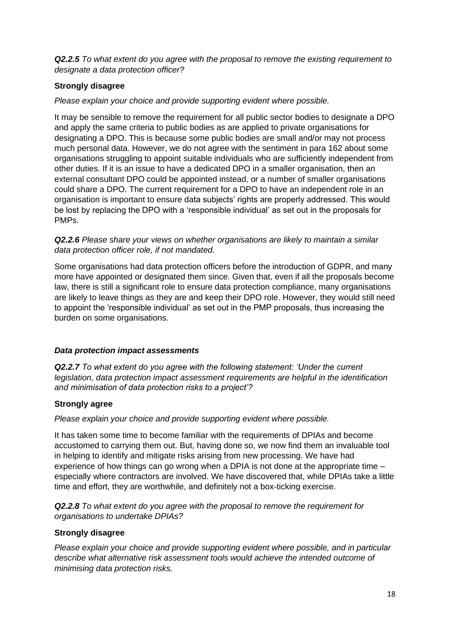*Q2.2.5 To what extent do you agree with the proposal to remove the existing requirement to designate a data protection officer?*

### **Strongly disagree**

*Please explain your choice and provide supporting evident where possible.*

It may be sensible to remove the requirement for all public sector bodies to designate a DPO and apply the same criteria to public bodies as are applied to private organisations for designating a DPO. This is because some public bodies are small and/or may not process much personal data. However, we do not agree with the sentiment in para 162 about some organisations struggling to appoint suitable individuals who are sufficiently independent from other duties. If it is an issue to have a dedicated DPO in a smaller organisation, then an external consultant DPO could be appointed instead, or a number of smaller organisations could share a DPO. The current requirement for a DPO to have an independent role in an organisation is important to ensure data subjects' rights are properly addressed. This would be lost by replacing the DPO with a 'responsible individual' as set out in the proposals for PMPs.

#### *Q2.2.6 Please share your views on whether organisations are likely to maintain a similar data protection officer role, if not mandated.*

Some organisations had data protection officers before the introduction of GDPR, and many more have appointed or designated them since. Given that, even if all the proposals become law, there is still a significant role to ensure data protection compliance, many organisations are likely to leave things as they are and keep their DPO role. However, they would still need to appoint the 'responsible individual' as set out in the PMP proposals, thus increasing the burden on some organisations.

#### *Data protection impact assessments*

*Q2.2.7 To what extent do you agree with the following statement: 'Under the current legislation, data protection impact assessment requirements are helpful in the identification and minimisation of data protection risks to a project'?*

#### **Strongly agree**

*Please explain your choice and provide supporting evident where possible.*

It has taken some time to become familiar with the requirements of DPIAs and become accustomed to carrying them out. But, having done so, we now find them an invaluable tool in helping to identify and mitigate risks arising from new processing. We have had experience of how things can go wrong when a DPIA is not done at the appropriate time – especially where contractors are involved. We have discovered that, while DPIAs take a little time and effort, they are worthwhile, and definitely not a box-ticking exercise.

*Q2.2.8 To what extent do you agree with the proposal to remove the requirement for organisations to undertake DPIAs?*

#### **Strongly disagree**

*Please explain your choice and provide supporting evident where possible, and in particular describe what alternative risk assessment tools would achieve the intended outcome of minimising data protection risks.*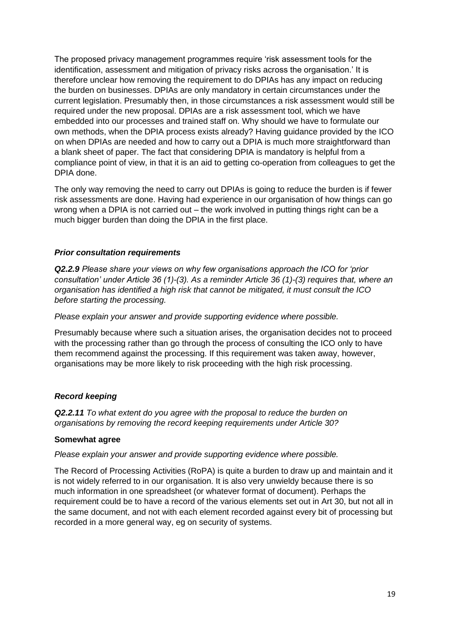The proposed privacy management programmes require 'risk assessment tools for the identification, assessment and mitigation of privacy risks across the organisation.' It is therefore unclear how removing the requirement to do DPIAs has any impact on reducing the burden on businesses. DPIAs are only mandatory in certain circumstances under the current legislation. Presumably then, in those circumstances a risk assessment would still be required under the new proposal. DPIAs are a risk assessment tool, which we have embedded into our processes and trained staff on. Why should we have to formulate our own methods, when the DPIA process exists already? Having guidance provided by the ICO on when DPIAs are needed and how to carry out a DPIA is much more straightforward than a blank sheet of paper. The fact that considering DPIA is mandatory is helpful from a compliance point of view, in that it is an aid to getting co-operation from colleagues to get the DPIA done.

The only way removing the need to carry out DPIAs is going to reduce the burden is if fewer risk assessments are done. Having had experience in our organisation of how things can go wrong when a DPIA is not carried out – the work involved in putting things right can be a much bigger burden than doing the DPIA in the first place.

### *Prior consultation requirements*

*Q2.2.9 Please share your views on why few organisations approach the ICO for 'prior consultation' under Article 36 (1)-(3). As a reminder Article 36 (1)-(3) requires that, where an organisation has identified a high risk that cannot be mitigated, it must consult the ICO before starting the processing.*

*Please explain your answer and provide supporting evidence where possible.*

Presumably because where such a situation arises, the organisation decides not to proceed with the processing rather than go through the process of consulting the ICO only to have them recommend against the processing. If this requirement was taken away, however, organisations may be more likely to risk proceeding with the high risk processing.

#### *Record keeping*

*Q2.2.11 To what extent do you agree with the proposal to reduce the burden on organisations by removing the record keeping requirements under Article 30?*

#### **Somewhat agree**

*Please explain your answer and provide supporting evidence where possible.*

The Record of Processing Activities (RoPA) is quite a burden to draw up and maintain and it is not widely referred to in our organisation. It is also very unwieldy because there is so much information in one spreadsheet (or whatever format of document). Perhaps the requirement could be to have a record of the various elements set out in Art 30, but not all in the same document, and not with each element recorded against every bit of processing but recorded in a more general way, eg on security of systems.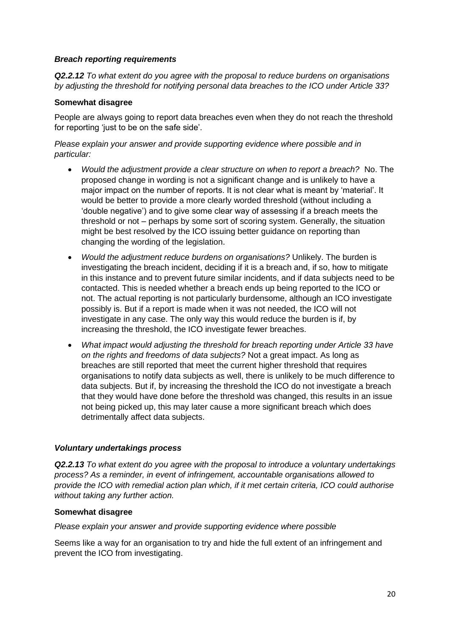#### *Breach reporting requirements*

*Q2.2.12 To what extent do you agree with the proposal to reduce burdens on organisations by adjusting the threshold for notifying personal data breaches to the ICO under Article 33?*

### **Somewhat disagree**

People are always going to report data breaches even when they do not reach the threshold for reporting 'just to be on the safe side'.

*Please explain your answer and provide supporting evidence where possible and in particular:*

- *Would the adjustment provide a clear structure on when to report a breach?* No. The proposed change in wording is not a significant change and is unlikely to have a major impact on the number of reports. It is not clear what is meant by 'material'. It would be better to provide a more clearly worded threshold (without including a 'double negative') and to give some clear way of assessing if a breach meets the threshold or not – perhaps by some sort of scoring system. Generally, the situation might be best resolved by the ICO issuing better guidance on reporting than changing the wording of the legislation.
- *Would the adjustment reduce burdens on organisations?* Unlikely. The burden is investigating the breach incident, deciding if it is a breach and, if so, how to mitigate in this instance and to prevent future similar incidents, and if data subjects need to be contacted. This is needed whether a breach ends up being reported to the ICO or not. The actual reporting is not particularly burdensome, although an ICO investigate possibly is. But if a report is made when it was not needed, the ICO will not investigate in any case. The only way this would reduce the burden is if, by increasing the threshold, the ICO investigate fewer breaches.
- *What impact would adjusting the threshold for breach reporting under Article 33 have on the rights and freedoms of data subjects?* Not a great impact. As long as breaches are still reported that meet the current higher threshold that requires organisations to notify data subjects as well, there is unlikely to be much difference to data subjects. But if, by increasing the threshold the ICO do not investigate a breach that they would have done before the threshold was changed, this results in an issue not being picked up, this may later cause a more significant breach which does detrimentally affect data subjects.

#### *Voluntary undertakings process*

*Q2.2.13 To what extent do you agree with the proposal to introduce a voluntary undertakings process? As a reminder, in event of infringement, accountable organisations allowed to provide the ICO with remedial action plan which, if it met certain criteria, ICO could authorise without taking any further action.*

### **Somewhat disagree**

*Please explain your answer and provide supporting evidence where possible*

Seems like a way for an organisation to try and hide the full extent of an infringement and prevent the ICO from investigating.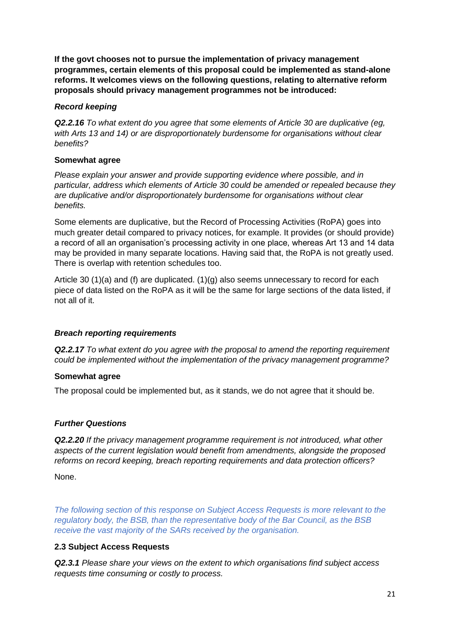**If the govt chooses not to pursue the implementation of privacy management programmes, certain elements of this proposal could be implemented as stand-alone reforms. It welcomes views on the following questions, relating to alternative reform proposals should privacy management programmes not be introduced:**

#### *Record keeping*

*Q2.2.16 To what extent do you agree that some elements of Article 30 are duplicative (eg, with Arts 13 and 14) or are disproportionately burdensome for organisations without clear benefits?*

### **Somewhat agree**

*Please explain your answer and provide supporting evidence where possible, and in particular, address which elements of Article 30 could be amended or repealed because they are duplicative and/or disproportionately burdensome for organisations without clear benefits.*

Some elements are duplicative, but the Record of Processing Activities (RoPA) goes into much greater detail compared to privacy notices, for example. It provides (or should provide) a record of all an organisation's processing activity in one place, whereas Art 13 and 14 data may be provided in many separate locations. Having said that, the RoPA is not greatly used. There is overlap with retention schedules too.

Article 30 (1)(a) and (f) are duplicated. (1)(g) also seems unnecessary to record for each piece of data listed on the RoPA as it will be the same for large sections of the data listed, if not all of it.

### *Breach reporting requirements*

*Q2.2.17 To what extent do you agree with the proposal to amend the reporting requirement could be implemented without the implementation of the privacy management programme?*

### **Somewhat agree**

The proposal could be implemented but, as it stands, we do not agree that it should be.

### *Further Questions*

*Q2.2.20 If the privacy management programme requirement is not introduced, what other aspects of the current legislation would benefit from amendments, alongside the proposed reforms on record keeping, breach reporting requirements and data protection officers?*

None.

*The following section of this response on Subject Access Requests is more relevant to the regulatory body, the BSB, than the representative body of the Bar Council, as the BSB receive the vast majority of the SARs received by the organisation.*

### **2.3 Subject Access Requests**

*Q2.3.1 Please share your views on the extent to which organisations find subject access requests time consuming or costly to process.*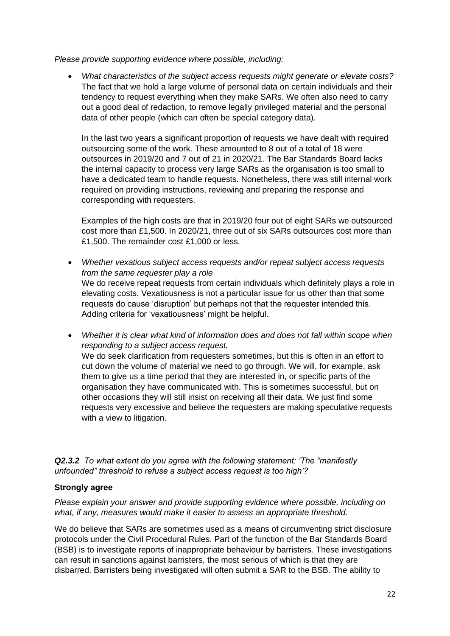*Please provide supporting evidence where possible, including:*

• *What characteristics of the subject access requests might generate or elevate costs?* The fact that we hold a large volume of personal data on certain individuals and their tendency to request everything when they make SARs. We often also need to carry out a good deal of redaction, to remove legally privileged material and the personal data of other people (which can often be special category data).

In the last two years a significant proportion of requests we have dealt with required outsourcing some of the work. These amounted to 8 out of a total of 18 were outsources in 2019/20 and 7 out of 21 in 2020/21. The Bar Standards Board lacks the internal capacity to process very large SARs as the organisation is too small to have a dedicated team to handle requests. Nonetheless, there was still internal work required on providing instructions, reviewing and preparing the response and corresponding with requesters.

Examples of the high costs are that in 2019/20 four out of eight SARs we outsourced cost more than £1,500. In 2020/21, three out of six SARs outsources cost more than £1,500. The remainder cost £1,000 or less.

- *Whether vexatious subject access requests and/or repeat subject access requests from the same requester play a role* We do receive repeat requests from certain individuals which definitely plays a role in elevating costs. Vexatiousness is not a particular issue for us other than that some requests do cause 'disruption' but perhaps not that the requester intended this. Adding criteria for 'vexatiousness' might be helpful.
- *Whether it is clear what kind of information does and does not fall within scope when responding to a subject access request.* We do seek clarification from requesters sometimes, but this is often in an effort to cut down the volume of material we need to go through. We will, for example, ask them to give us a time period that they are interested in, or specific parts of the organisation they have communicated with. This is sometimes successful, but on other occasions they will still insist on receiving all their data. We just find some requests very excessive and believe the requesters are making speculative requests with a view to litigation.

*Q2.3.2 To what extent do you agree with the following statement: 'The "manifestly unfounded" threshold to refuse a subject access request is too high'?*

### **Strongly agree**

*Please explain your answer and provide supporting evidence where possible, including on what, if any, measures would make it easier to assess an appropriate threshold.*

We do believe that SARs are sometimes used as a means of circumventing strict disclosure protocols under the Civil Procedural Rules. Part of the function of the Bar Standards Board (BSB) is to investigate reports of inappropriate behaviour by barristers. These investigations can result in sanctions against barristers, the most serious of which is that they are disbarred. Barristers being investigated will often submit a SAR to the BSB. The ability to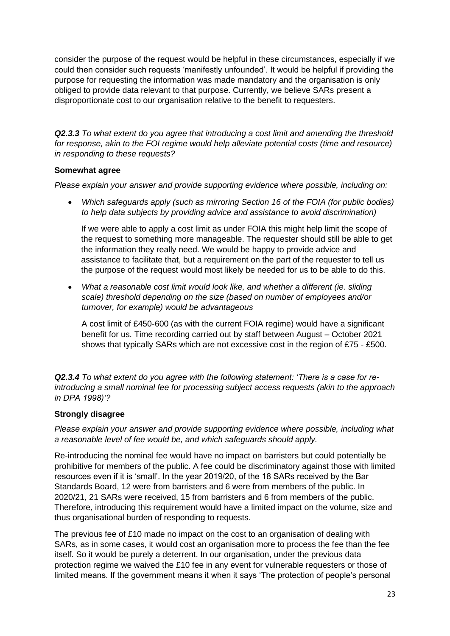consider the purpose of the request would be helpful in these circumstances, especially if we could then consider such requests 'manifestly unfounded'. It would be helpful if providing the purpose for requesting the information was made mandatory and the organisation is only obliged to provide data relevant to that purpose. Currently, we believe SARs present a disproportionate cost to our organisation relative to the benefit to requesters.

*Q2.3.3 To what extent do you agree that introducing a cost limit and amending the threshold for response, akin to the FOI regime would help alleviate potential costs (time and resource) in responding to these requests?*

### **Somewhat agree**

*Please explain your answer and provide supporting evidence where possible, including on:*

• *Which safeguards apply (such as mirroring Section 16 of the FOIA (for public bodies) to help data subjects by providing advice and assistance to avoid discrimination)*

If we were able to apply a cost limit as under FOIA this might help limit the scope of the request to something more manageable. The requester should still be able to get the information they really need. We would be happy to provide advice and assistance to facilitate that, but a requirement on the part of the requester to tell us the purpose of the request would most likely be needed for us to be able to do this.

• *What a reasonable cost limit would look like, and whether a different (ie. sliding scale) threshold depending on the size (based on number of employees and/or turnover, for example) would be advantageous*

A cost limit of £450-600 (as with the current FOIA regime) would have a significant benefit for us. Time recording carried out by staff between August – October 2021 shows that typically SARs which are not excessive cost in the region of £75 - £500.

*Q2.3.4 To what extent do you agree with the following statement: 'There is a case for reintroducing a small nominal fee for processing subject access requests (akin to the approach in DPA 1998)'?*

### **Strongly disagree**

*Please explain your answer and provide supporting evidence where possible, including what a reasonable level of fee would be, and which safeguards should apply.*

Re-introducing the nominal fee would have no impact on barristers but could potentially be prohibitive for members of the public. A fee could be discriminatory against those with limited resources even if it is 'small'. In the year 2019/20, of the 18 SARs received by the Bar Standards Board, 12 were from barristers and 6 were from members of the public. In 2020/21, 21 SARs were received, 15 from barristers and 6 from members of the public. Therefore, introducing this requirement would have a limited impact on the volume, size and thus organisational burden of responding to requests.

The previous fee of £10 made no impact on the cost to an organisation of dealing with SARs, as in some cases, it would cost an organisation more to process the fee than the fee itself. So it would be purely a deterrent. In our organisation, under the previous data protection regime we waived the £10 fee in any event for vulnerable requesters or those of limited means. If the government means it when it says 'The protection of people's personal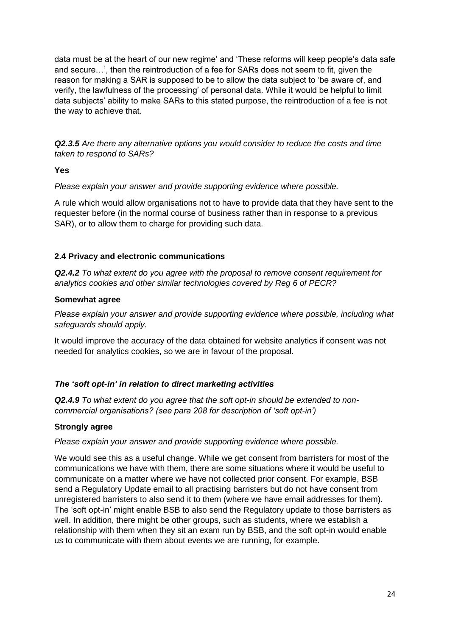data must be at the heart of our new regime' and 'These reforms will keep people's data safe and secure…', then the reintroduction of a fee for SARs does not seem to fit, given the reason for making a SAR is supposed to be to allow the data subject to 'be aware of, and verify, the lawfulness of the processing' of personal data. While it would be helpful to limit data subjects' ability to make SARs to this stated purpose, the reintroduction of a fee is not the way to achieve that.

*Q2.3.5 Are there any alternative options you would consider to reduce the costs and time taken to respond to SARs?*

#### **Yes**

*Please explain your answer and provide supporting evidence where possible.*

A rule which would allow organisations not to have to provide data that they have sent to the requester before (in the normal course of business rather than in response to a previous SAR), or to allow them to charge for providing such data.

### **2.4 Privacy and electronic communications**

*Q2.4.2 To what extent do you agree with the proposal to remove consent requirement for analytics cookies and other similar technologies covered by Reg 6 of PECR?*

### **Somewhat agree**

*Please explain your answer and provide supporting evidence where possible, including what safeguards should apply.*

It would improve the accuracy of the data obtained for website analytics if consent was not needed for analytics cookies, so we are in favour of the proposal.

### *The 'soft opt-in' in relation to direct marketing activities*

*Q2.4.9 To what extent do you agree that the soft opt-in should be extended to noncommercial organisations? (see para 208 for description of 'soft opt-in')*

#### **Strongly agree**

*Please explain your answer and provide supporting evidence where possible.*

We would see this as a useful change. While we get consent from barristers for most of the communications we have with them, there are some situations where it would be useful to communicate on a matter where we have not collected prior consent. For example, BSB send a Regulatory Update email to all practising barristers but do not have consent from unregistered barristers to also send it to them (where we have email addresses for them). The 'soft opt-in' might enable BSB to also send the Regulatory update to those barristers as well. In addition, there might be other groups, such as students, where we establish a relationship with them when they sit an exam run by BSB, and the soft opt-in would enable us to communicate with them about events we are running, for example.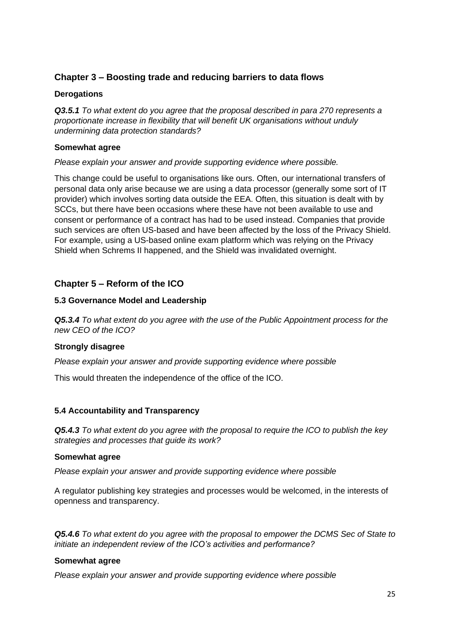# **Chapter 3 – Boosting trade and reducing barriers to data flows**

### **Derogations**

*Q3.5.1 To what extent do you agree that the proposal described in para 270 represents a proportionate increase in flexibility that will benefit UK organisations without unduly undermining data protection standards?*

#### **Somewhat agree**

#### *Please explain your answer and provide supporting evidence where possible.*

This change could be useful to organisations like ours. Often, our international transfers of personal data only arise because we are using a data processor (generally some sort of IT provider) which involves sorting data outside the EEA. Often, this situation is dealt with by SCCs, but there have been occasions where these have not been available to use and consent or performance of a contract has had to be used instead. Companies that provide such services are often US-based and have been affected by the loss of the Privacy Shield. For example, using a US-based online exam platform which was relying on the Privacy Shield when Schrems II happened, and the Shield was invalidated overnight.

# **Chapter 5 – Reform of the ICO**

### **5.3 Governance Model and Leadership**

*Q5.3.4 To what extent do you agree with the use of the Public Appointment process for the new CEO of the ICO?*

### **Strongly disagree**

*Please explain your answer and provide supporting evidence where possible*

This would threaten the independence of the office of the ICO.

### **5.4 Accountability and Transparency**

*Q5.4.3 To what extent do you agree with the proposal to require the ICO to publish the key strategies and processes that guide its work?*

#### **Somewhat agree**

*Please explain your answer and provide supporting evidence where possible*

A regulator publishing key strategies and processes would be welcomed, in the interests of openness and transparency.

*Q5.4.6 To what extent do you agree with the proposal to empower the DCMS Sec of State to initiate an independent review of the ICO's activities and performance?*

#### **Somewhat agree**

*Please explain your answer and provide supporting evidence where possible*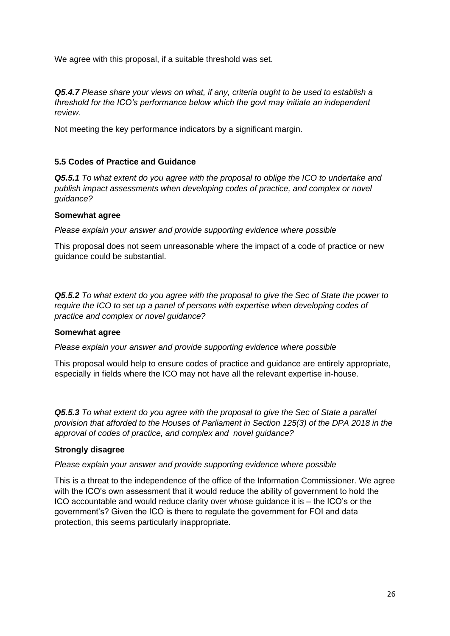We agree with this proposal, if a suitable threshold was set.

*Q5.4.7 Please share your views on what, if any, criteria ought to be used to establish a threshold for the ICO's performance below which the govt may initiate an independent review.*

Not meeting the key performance indicators by a significant margin.

### **5.5 Codes of Practice and Guidance**

*Q5.5.1 To what extent do you agree with the proposal to oblige the ICO to undertake and publish impact assessments when developing codes of practice, and complex or novel guidance?*

### **Somewhat agree**

*Please explain your answer and provide supporting evidence where possible*

This proposal does not seem unreasonable where the impact of a code of practice or new guidance could be substantial.

*Q5.5.2 To what extent do you agree with the proposal to give the Sec of State the power to require the ICO to set up a panel of persons with expertise when developing codes of practice and complex or novel guidance?*

#### **Somewhat agree**

*Please explain your answer and provide supporting evidence where possible*

This proposal would help to ensure codes of practice and guidance are entirely appropriate, especially in fields where the ICO may not have all the relevant expertise in-house.

*Q5.5.3 To what extent do you agree with the proposal to give the Sec of State a parallel provision that afforded to the Houses of Parliament in Section 125(3) of the DPA 2018 in the approval of codes of practice, and complex and novel guidance?*

### **Strongly disagree**

*Please explain your answer and provide supporting evidence where possible*

This is a threat to the independence of the office of the Information Commissioner. We agree with the ICO's own assessment that it would reduce the ability of government to hold the ICO accountable and would reduce clarity over whose guidance it is – the ICO's or the government's? Given the ICO is there to regulate the government for FOI and data protection, this seems particularly inappropriate*.*